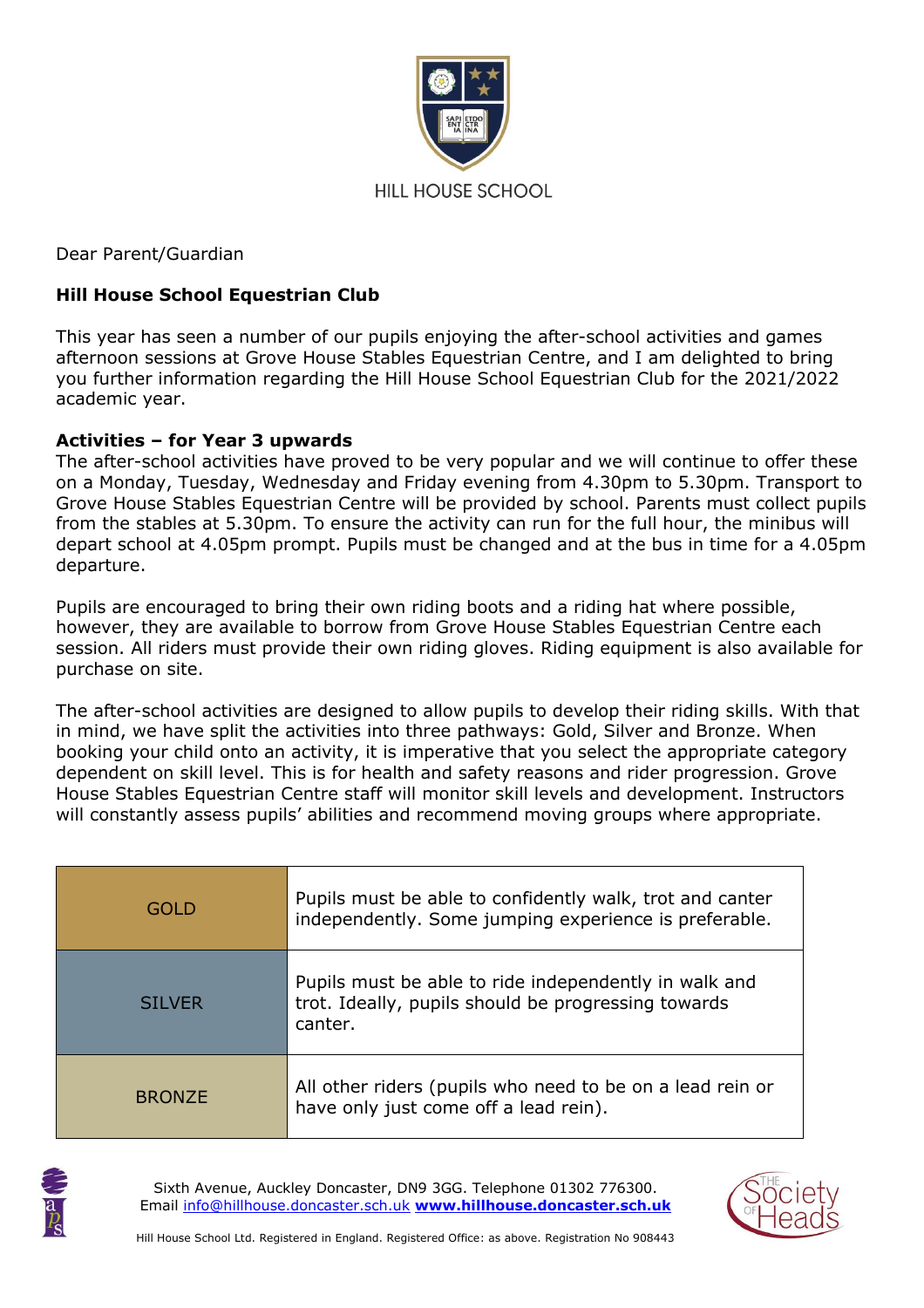

Dear Parent/Guardian

# **Hill House School Equestrian Club**

This year has seen a number of our pupils enjoying the after-school activities and games afternoon sessions at Grove House Stables Equestrian Centre, and I am delighted to bring you further information regarding the Hill House School Equestrian Club for the 2021/2022 academic year.

# **Activities – for Year 3 upwards**

The after-school activities have proved to be very popular and we will continue to offer these on a Monday, Tuesday, Wednesday and Friday evening from 4.30pm to 5.30pm. Transport to Grove House Stables Equestrian Centre will be provided by school. Parents must collect pupils from the stables at 5.30pm. To ensure the activity can run for the full hour, the minibus will depart school at 4.05pm prompt. Pupils must be changed and at the bus in time for a 4.05pm departure.

Pupils are encouraged to bring their own riding boots and a riding hat where possible, however, they are available to borrow from Grove House Stables Equestrian Centre each session. All riders must provide their own riding gloves. Riding equipment is also available for purchase on site.

The after-school activities are designed to allow pupils to develop their riding skills. With that in mind, we have split the activities into three pathways: Gold, Silver and Bronze. When booking your child onto an activity, it is imperative that you select the appropriate category dependent on skill level. This is for health and safety reasons and rider progression. Grove House Stables Equestrian Centre staff will monitor skill levels and development. Instructors will constantly assess pupils' abilities and recommend moving groups where appropriate.

| GOL D         | Pupils must be able to confidently walk, trot and canter<br>independently. Some jumping experience is preferable.       |
|---------------|-------------------------------------------------------------------------------------------------------------------------|
| <b>SILVER</b> | Pupils must be able to ride independently in walk and<br>trot. Ideally, pupils should be progressing towards<br>canter. |
| <b>BRONZE</b> | All other riders (pupils who need to be on a lead rein or<br>have only just come off a lead rein).                      |



Sixth Avenue, Auckley Doncaster, DN9 3GG. Telephone 01302 776300. Email [info@hillhouse.doncaster.sch.uk](mailto:info@hillhouse.doncaster.sch.uk) **[www.hillhouse.doncaster.sch.uk](http://www.hillhouse.doncaster.sch.uk/)**

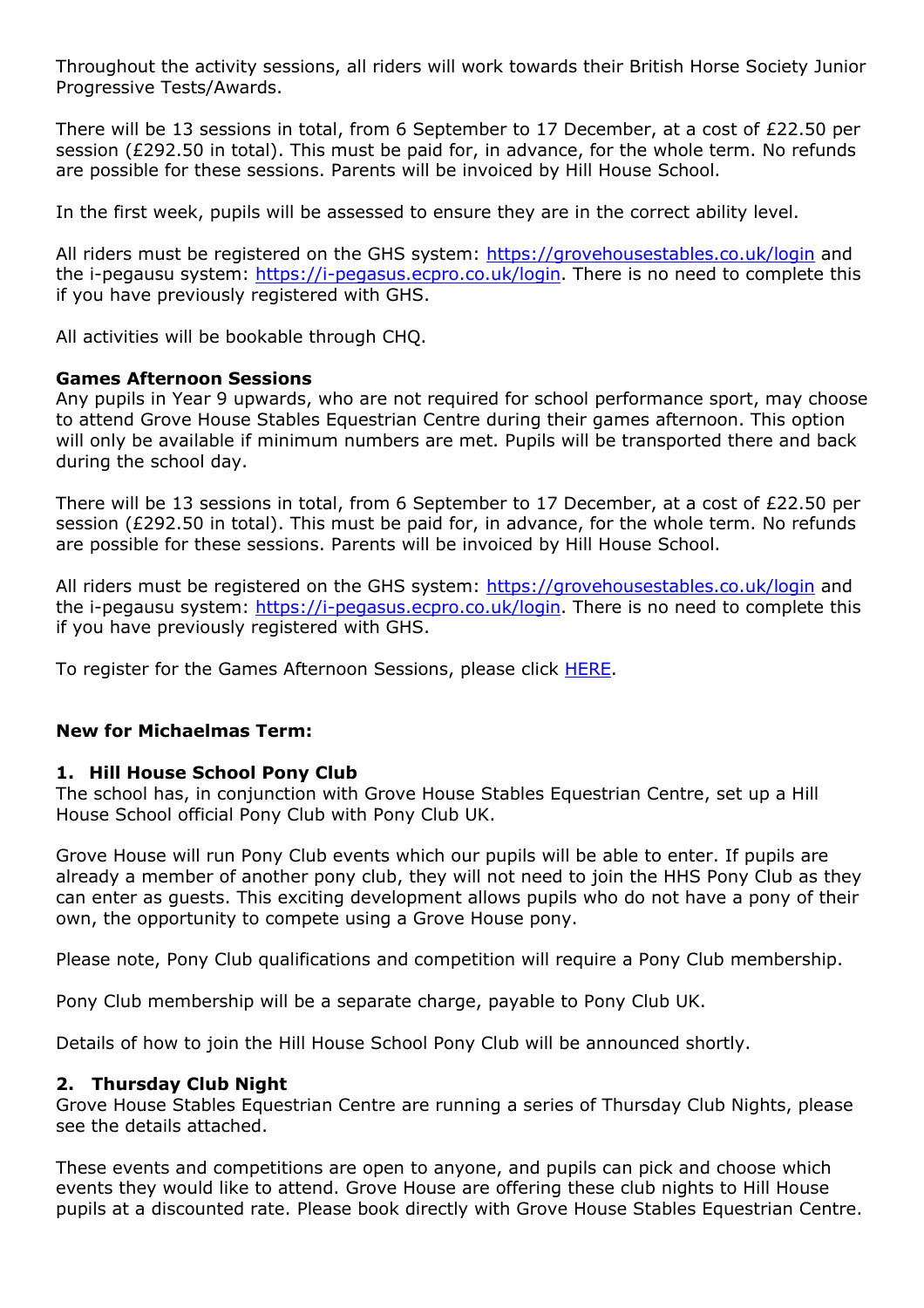Throughout the activity sessions, all riders will work towards their British Horse Society Junior Progressive Tests/Awards.

There will be 13 sessions in total, from 6 September to 17 December, at a cost of £22.50 per session (£292.50 in total). This must be paid for, in advance, for the whole term. No refunds are possible for these sessions. Parents will be invoiced by Hill House School.

In the first week, pupils will be assessed to ensure they are in the correct ability level.

All riders must be registered on the GHS system:<https://grovehousestables.co.uk/login> and the i-pegausu system: [https://i-pegasus.ecpro.co.uk/login.](https://i-pegasus.ecpro.co.uk/login) There is no need to complete this if you have previously registered with GHS.

All activities will be bookable through CHQ.

#### **Games Afternoon Sessions**

Any pupils in Year 9 upwards, who are not required for school performance sport, may choose to attend Grove House Stables Equestrian Centre during their games afternoon. This option will only be available if minimum numbers are met. Pupils will be transported there and back during the school day.

There will be 13 sessions in total, from 6 September to 17 December, at a cost of £22.50 per session (£292.50 in total). This must be paid for, in advance, for the whole term. No refunds are possible for these sessions. Parents will be invoiced by Hill House School.

All riders must be registered on the GHS system:<https://grovehousestables.co.uk/login> and the i-pegausu system: [https://i-pegasus.ecpro.co.uk/login.](https://i-pegasus.ecpro.co.uk/login) There is no need to complete this if you have previously registered with GHS.

To register for the Games Afternoon Sessions, please click **HERE**.

# **New for Michaelmas Term:**

# **1. Hill House School Pony Club**

The school has, in conjunction with Grove House Stables Equestrian Centre, set up a Hill House School official Pony Club with Pony Club UK.

Grove House will run Pony Club events which our pupils will be able to enter. If pupils are already a member of another pony club, they will not need to join the HHS Pony Club as they can enter as guests. This exciting development allows pupils who do not have a pony of their own, the opportunity to compete using a Grove House pony.

Please note, Pony Club qualifications and competition will require a Pony Club membership.

Pony Club membership will be a separate charge, payable to Pony Club UK.

Details of how to join the Hill House School Pony Club will be announced shortly.

#### **2. Thursday Club Night**

Grove House Stables Equestrian Centre are running a series of Thursday Club Nights, please see the details attached.

These events and competitions are open to anyone, and pupils can pick and choose which events they would like to attend. Grove House are offering these club nights to Hill House pupils at a discounted rate. Please book directly with Grove House Stables Equestrian Centre.